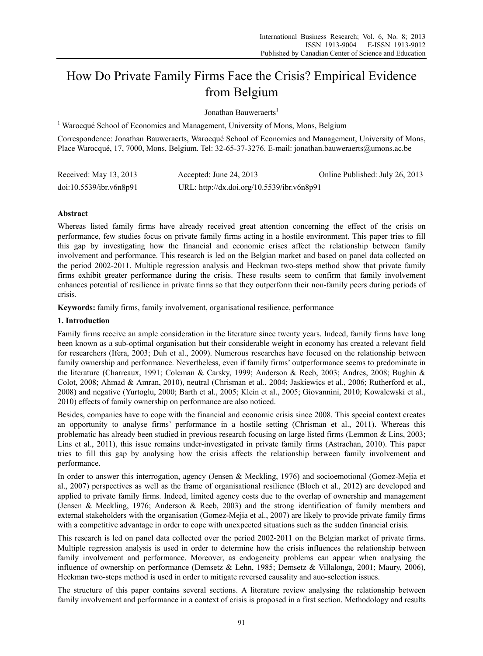# How Do Private Family Firms Face the Crisis? Empirical Evidence from Belgium

Jonathan Bauweraerts<sup>1</sup>

<sup>1</sup> Warocqué School of Economics and Management, University of Mons, Mons, Belgium

Correspondence: Jonathan Bauweraerts, Warocqué School of Economics and Management, University of Mons, Place Warocqué, 17, 7000, Mons, Belgium. Tel: 32-65-37-3276. E-mail: jonathan.bauweraerts@umons.ac.be

| Received: May 13, 2013  | Accepted: June 24, 2013                    | Online Published: July 26, 2013 |
|-------------------------|--------------------------------------------|---------------------------------|
| doi:10.5539/ibr.v6n8p91 | URL: http://dx.doi.org/10.5539/ibr.v6n8p91 |                                 |

# **Abstract**

Whereas listed family firms have already received great attention concerning the effect of the crisis on performance, few studies focus on private family firms acting in a hostile environment. This paper tries to fill this gap by investigating how the financial and economic crises affect the relationship between family involvement and performance. This research is led on the Belgian market and based on panel data collected on the period 2002-2011. Multiple regression analysis and Heckman two-steps method show that private family firms exhibit greater performance during the crisis. These results seem to confirm that family involvement enhances potential of resilience in private firms so that they outperform their non-family peers during periods of crisis.

**Keywords:** family firms, family involvement, organisational resilience, performance

# **1. Introduction**

Family firms receive an ample consideration in the literature since twenty years. Indeed, family firms have long been known as a sub-optimal organisation but their considerable weight in economy has created a relevant field for researchers (Ifera, 2003; Duh et al., 2009). Numerous researches have focused on the relationship between family ownership and performance. Nevertheless, even if family firms' outperformance seems to predominate in the literature (Charreaux, 1991; Coleman & Carsky, 1999; Anderson & Reeb, 2003; Andres, 2008; Bughin & Colot, 2008; Ahmad & Amran, 2010), neutral (Chrisman et al., 2004; Jaskiewics et al., 2006; Rutherford et al., 2008) and negative (Yurtoglu, 2000; Barth et al., 2005; Klein et al., 2005; Giovannini, 2010; Kowalewski et al., 2010) effects of family ownership on performance are also noticed.

Besides, companies have to cope with the financial and economic crisis since 2008. This special context creates an opportunity to analyse firms' performance in a hostile setting (Chrisman et al., 2011). Whereas this problematic has already been studied in previous research focusing on large listed firms (Lemmon & Lins, 2003; Lins et al., 2011), this issue remains under-investigated in private family firms (Astrachan, 2010). This paper tries to fill this gap by analysing how the crisis affects the relationship between family involvement and performance.

In order to answer this interrogation, agency (Jensen & Meckling, 1976) and socioemotional (Gomez-Mejia et al., 2007) perspectives as well as the frame of organisational resilience (Bloch et al., 2012) are developed and applied to private family firms. Indeed, limited agency costs due to the overlap of ownership and management (Jensen & Meckling, 1976; Anderson & Reeb, 2003) and the strong identification of family members and external stakeholders with the organisation (Gomez-Mejia et al., 2007) are likely to provide private family firms with a competitive advantage in order to cope with unexpected situations such as the sudden financial crisis.

This research is led on panel data collected over the period 2002-2011 on the Belgian market of private firms. Multiple regression analysis is used in order to determine how the crisis influences the relationship between family involvement and performance. Moreover, as endogeneity problems can appear when analysing the influence of ownership on performance (Demsetz & Lehn, 1985; Demsetz & Villalonga, 2001; Maury, 2006), Heckman two-steps method is used in order to mitigate reversed causality and auo-selection issues.

The structure of this paper contains several sections. A literature review analysing the relationship between family involvement and performance in a context of crisis is proposed in a first section. Methodology and results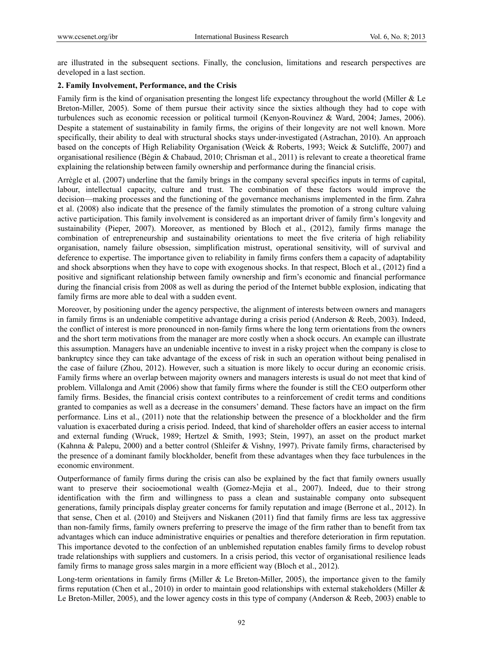are illustrated in the subsequent sections. Finally, the conclusion, limitations and research perspectives are developed in a last section.

# **2. Family Involvement, Performance, and the Crisis**

Family firm is the kind of organisation presenting the longest life expectancy throughout the world (Miller & Le Breton-Miller, 2005). Some of them pursue their activity since the sixties although they had to cope with turbulences such as economic recession or political turmoil (Kenyon-Rouvinez & Ward, 2004; James, 2006). Despite a statement of sustainability in family firms, the origins of their longevity are not well known. More specifically, their ability to deal with structural shocks stays under-investigated (Astrachan, 2010). An approach based on the concepts of High Reliability Organisation (Weick & Roberts, 1993; Weick & Sutcliffe, 2007) and organisational resilience (Bégin & Chabaud, 2010; Chrisman et al., 2011) is relevant to create a theoretical frame explaining the relationship between family ownership and performance during the financial crisis.

Arrègle et al. (2007) underline that the family brings in the company several specifics inputs in terms of capital, labour, intellectual capacity, culture and trust. The combination of these factors would improve the decision—making processes and the functioning of the governance mechanisms implemented in the firm. Zahra et al. (2008) also indicate that the presence of the family stimulates the promotion of a strong culture valuing active participation. This family involvement is considered as an important driver of family firm's longevity and sustainability (Pieper, 2007). Moreover, as mentioned by Bloch et al., (2012), family firms manage the combination of entrepreneurship and sustainability orientations to meet the five criteria of high reliability organisation, namely failure obsession, simplification mistrust, operational sensitivity, will of survival and deference to expertise. The importance given to reliability in family firms confers them a capacity of adaptability and shock absorptions when they have to cope with exogenous shocks. In that respect, Bloch et al., (2012) find a positive and significant relationship between family ownership and firm's economic and financial performance during the financial crisis from 2008 as well as during the period of the Internet bubble explosion, indicating that family firms are more able to deal with a sudden event.

Moreover, by positioning under the agency perspective, the alignment of interests between owners and managers in family firms is an undeniable competitive advantage during a crisis period (Anderson & Reeb, 2003). Indeed, the conflict of interest is more pronounced in non-family firms where the long term orientations from the owners and the short term motivations from the manager are more costly when a shock occurs. An example can illustrate this assumption. Managers have an undeniable incentive to invest in a risky project when the company is close to bankruptcy since they can take advantage of the excess of risk in such an operation without being penalised in the case of failure (Zhou, 2012). However, such a situation is more likely to occur during an economic crisis. Family firms where an overlap between majority owners and managers interests is usual do not meet that kind of problem. Villalonga and Amit (2006) show that family firms where the founder is still the CEO outperform other family firms. Besides, the financial crisis context contributes to a reinforcement of credit terms and conditions granted to companies as well as a decrease in the consumers' demand. These factors have an impact on the firm performance. Lins et al., (2011) note that the relationship between the presence of a blockholder and the firm valuation is exacerbated during a crisis period. Indeed, that kind of shareholder offers an easier access to internal and external funding (Wruck, 1989; Hertzel & Smith, 1993; Stein, 1997), an asset on the product market (Kahnna & Palepu, 2000) and a better control (Shleifer & Vishny, 1997). Private family firms, characterised by the presence of a dominant family blockholder, benefit from these advantages when they face turbulences in the economic environment.

Outperformance of family firms during the crisis can also be explained by the fact that family owners usually want to preserve their socioemotional wealth (Gomez-Mejia et al., 2007). Indeed, due to their strong identification with the firm and willingness to pass a clean and sustainable company onto subsequent generations, family principals display greater concerns for family reputation and image (Berrone et al., 2012). In that sense, Chen et al. (2010) and Steijvers and Niskanen (2011) find that family firms are less tax aggressive than non-family firms, family owners preferring to preserve the image of the firm rather than to benefit from tax advantages which can induce administrative enquiries or penalties and therefore deterioration in firm reputation. This importance devoted to the confection of an unblemished reputation enables family firms to develop robust trade relationships with suppliers and customers. In a crisis period, this vector of organisational resilience leads family firms to manage gross sales margin in a more efficient way (Bloch et al., 2012).

Long-term orientations in family firms (Miller & Le Breton-Miller, 2005), the importance given to the family firms reputation (Chen et al., 2010) in order to maintain good relationships with external stakeholders (Miller & Le Breton-Miller, 2005), and the lower agency costs in this type of company (Anderson & Reeb, 2003) enable to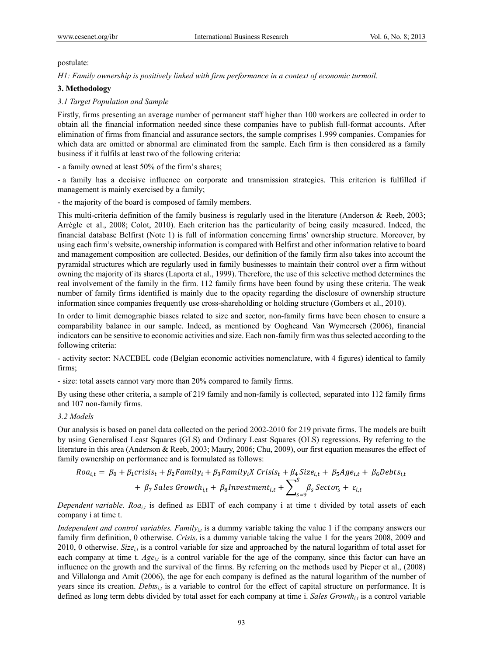## postulate:

*H1: Family ownership is positively linked with firm performance in a context of economic turmoil.* 

# **3. Methodology**

# *3.1 Target Population and Sample*

Firstly, firms presenting an average number of permanent staff higher than 100 workers are collected in order to obtain all the financial information needed since these companies have to publish full-format accounts. After elimination of firms from financial and assurance sectors, the sample comprises 1.999 companies. Companies for which data are omitted or abnormal are eliminated from the sample. Each firm is then considered as a family business if it fulfils at least two of the following criteria:

- a family owned at least 50% of the firm's shares;

- a family has a decisive influence on corporate and transmission strategies. This criterion is fulfilled if management is mainly exercised by a family;

- the majority of the board is composed of family members.

This multi-criteria definition of the family business is regularly used in the literature (Anderson & Reeb, 2003; Arrègle et al., 2008; Colot, 2010). Each criterion has the particularity of being easily measured. Indeed, the financial database Belfirst (Note 1) is full of information concerning firms' ownership structure. Moreover, by using each firm's website, ownership information is compared with Belfirst and other information relative to board and management composition are collected. Besides, our definition of the family firm also takes into account the pyramidal structures which are regularly used in family businesses to maintain their control over a firm without owning the majority of its shares (Laporta et al., 1999). Therefore, the use of this selective method determines the real involvement of the family in the firm. 112 family firms have been found by using these criteria. The weak number of family firms identified is mainly due to the opacity regarding the disclosure of ownership structure information since companies frequently use cross-shareholding or holding structure (Gombers et al., 2010).

In order to limit demographic biases related to size and sector, non-family firms have been chosen to ensure a comparability balance in our sample. Indeed, as mentioned by Oogheand Van Wymeersch (2006), financial indicators can be sensitive to economic activities and size. Each non-family firm was thus selected according to the following criteria:

- activity sector: NACEBEL code (Belgian economic activities nomenclature, with 4 figures) identical to family firms;

- size: total assets cannot vary more than 20% compared to family firms.

By using these other criteria, a sample of 219 family and non-family is collected, separated into 112 family firms and 107 non-family firms.

## *3.2 Models*

Our analysis is based on panel data collected on the period 2002-2010 for 219 private firms. The models are built by using Generalised Least Squares (GLS) and Ordinary Least Squares (OLS) regressions. By referring to the literature in this area (Anderson & Reeb, 2003; Maury, 2006; Chu, 2009), our first equation measures the effect of family ownership on performance and is formulated as follows:

$$
Roa_{i,t} = \beta_0 + \beta_1 crisis_t + \beta_2 Family_t + \beta_3 Family_tX Crisis_t + \beta_4 Size_{i,t} + \beta_5 Age_{i,t} + \beta_6Debts_{i,t} + \beta_7 Sales Growth_{i,t} + \beta_8 Investment_{i,t} + \sum_{s=9}^{S} \beta_s Sector_s + \varepsilon_{i,t}
$$

*Dependent variable. Roa<sub>i,t</sub>* is defined as EBIT of each company i at time t divided by total assets of each company i at time t.

*Independent and control variables. Family<sub>it</sub>* is a dummy variable taking the value 1 if the company answers our family firm definition, 0 otherwise. *Crisis<sub>t</sub>* is a dummy variable taking the value 1 for the years 2008, 2009 and 2010, 0 otherwise. *Sizei,t* is a control variable for size and approached by the natural logarithm of total asset for each company at time t.  $Age_{i,t}$  is a control variable for the age of the company, since this factor can have an influence on the growth and the survival of the firms. By referring on the methods used by Pieper et al., (2008) and Villalonga and Amit (2006), the age for each company is defined as the natural logarithm of the number of years since its creation. *Debts<sub>i,t</sub>* is a variable to control for the effect of capital structure on performance. It is defined as long term debts divided by total asset for each company at time i. *Sales Growth<sub>it</sub>* is a control variable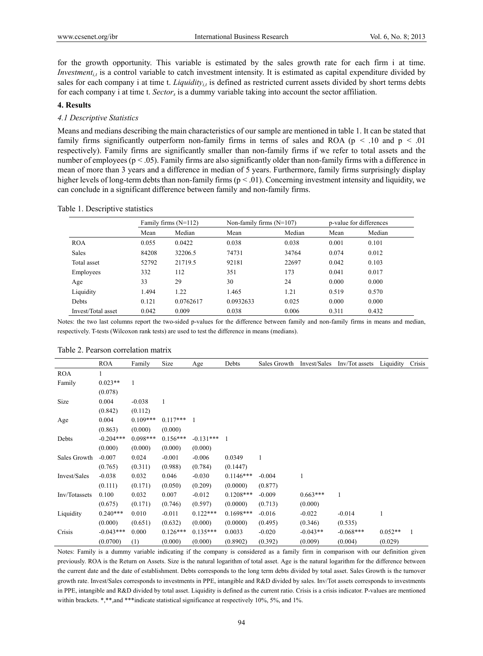for the growth opportunity. This variable is estimated by the sales growth rate for each firm i at time. *Investment<sub>i,t</sub>* is a control variable to catch investment intensity. It is estimated as capital expenditure divided by sales for each company i at time t. *Liquidity<sub>ii</sub>* is defined as restricted current assets divided by short terms debts for each company i at time t. *Sectors* is a dummy variable taking into account the sector affiliation.

## **4. Results**

## *4.1 Descriptive Statistics*

Means and medians describing the main characteristics of our sample are mentioned in table 1. It can be stated that family firms significantly outperform non-family firms in terms of sales and ROA ( $p < .10$  and  $p < .01$ ) respectively). Family firms are significantly smaller than non-family firms if we refer to total assets and the number of employees ( $p < .05$ ). Family firms are also significantly older than non-family firms with a difference in mean of more than 3 years and a difference in median of 5 years. Furthermore, family firms surprisingly display higher levels of long-term debts than non-family firms ( $p < .01$ ). Concerning investment intensity and liquidity, we can conclude in a significant difference between family and non-family firms.

|                    | Family firms $(N=112)$ |           | Non-family firms $(N=107)$ |        | p-value for differences |        |
|--------------------|------------------------|-----------|----------------------------|--------|-------------------------|--------|
|                    | Mean                   | Median    | Mean                       | Median | Mean                    | Median |
| <b>ROA</b>         | 0.055                  | 0.0422    | 0.038                      | 0.038  | 0.001                   | 0.101  |
| <b>Sales</b>       | 84208                  | 32206.5   | 74731                      | 34764  | 0.074                   | 0.012  |
| Total asset        | 52792                  | 21719.5   | 92181                      | 22697  | 0.042                   | 0.103  |
| Employees          | 332                    | 112       | 351                        | 173    | 0.041                   | 0.017  |
| Age                | 33                     | 29        | 30                         | 24     | 0.000                   | 0.000  |
| Liquidity          | 1.494                  | 1.22      | 1.465                      | 1.21   | 0.519                   | 0.570  |
| Debts              | 0.121                  | 0.0762617 | 0.0932633                  | 0.025  | 0.000                   | 0.000  |
| Invest/Total asset | 0.042                  | 0.009     | 0.038                      | 0.006  | 0.311                   | 0.432  |

#### Table 1. Descriptive statistics

Notes: the two last columns report the two-sided p-values for the difference between family and non-family firms in means and median, respectively. T-tests (Wilcoxon rank tests) are used to test the difference in means (medians).

|               | <b>ROA</b>  | Family     | Size       | Age         | Debts       | Sales Growth | Invest/Sales | Inv/Tot assets | Liquidity | Crisis |
|---------------|-------------|------------|------------|-------------|-------------|--------------|--------------|----------------|-----------|--------|
| <b>ROA</b>    |             |            |            |             |             |              |              |                |           |        |
| Family        | $0.023**$   | 1          |            |             |             |              |              |                |           |        |
|               | (0.078)     |            |            |             |             |              |              |                |           |        |
| Size          | 0.004       | $-0.038$   |            |             |             |              |              |                |           |        |
|               | (0.842)     | (0.112)    |            |             |             |              |              |                |           |        |
| Age           | 0.004       | $0.109***$ | $0.117***$ |             |             |              |              |                |           |        |
|               | (0.863)     | (0.000)    | (0.000)    |             |             |              |              |                |           |        |
| Debts         | $-0.204***$ | $0.098***$ | $0.156***$ | $-0.131***$ | 1           |              |              |                |           |        |
|               | (0.000)     | (0.000)    | (0.000)    | (0.000)     |             |              |              |                |           |        |
| Sales Growth  | $-0.007$    | 0.024      | $-0.001$   | $-0.006$    | 0.0349      |              |              |                |           |        |
|               | (0.765)     | (0.311)    | (0.988)    | (0.784)     | (0.1447)    |              |              |                |           |        |
| Invest/Sales  | $-0.038$    | 0.032      | 0.046      | $-0.030$    | $0.1146***$ | $-0.004$     | 1            |                |           |        |
|               | (0.111)     | (0.171)    | (0.050)    | (0.209)     | (0.0000)    | (0.877)      |              |                |           |        |
| Inv/Totassets | 0.100       | 0.032      | 0.007      | $-0.012$    | $0.1208***$ | $-0.009$     | $0.663***$   |                |           |        |
|               | (0.675)     | (0.171)    | (0.746)    | (0.597)     | (0.0000)    | (0.713)      | (0.000)      |                |           |        |
| Liquidity     | $0.240***$  | 0.010      | $-0.011$   | $0.122***$  | $0.1698***$ | $-0.016$     | $-0.022$     | $-0.014$       | 1         |        |
|               | (0.000)     | (0.651)    | (0.632)    | (0.000)     | (0.0000)    | (0.495)      | (0.346)      | (0.535)        |           |        |
| Crisis        | $-0.043***$ | 0.000      | $0.126***$ | $0.135***$  | 0.0033      | $-0.020$     | $-0.043**$   | $-0.068***$    | $0.052**$ | 1      |
|               | (0.0700)    | (1)        | (0.000)    | (0.000)     | (0.8902)    | (0.392)      | (0.009)      | (0.004)        | (0.029)   |        |

#### Table 2. Pearson correlation matrix

Notes: Family is a dummy variable indicating if the company is considered as a family firm in comparison with our definition given previously. ROA is the Return on Assets. Size is the natural logarithm of total asset. Age is the natural logarithm for the difference between the current date and the date of establishment. Debts corresponds to the long term debts divided by total asset. Sales Growth is the turnover growth rate. Invest/Sales corresponds to investments in PPE, intangible and R&D divided by sales. Inv/Tot assets corresponds to investments in PPE, intangible and R&D divided by total asset. Liquidity is defined as the current ratio. Crisis is a crisis indicator. P-values are mentioned within brackets. \*,\*\*,and \*\*\*indicate statistical significance at respectively 10%, 5%, and 1%.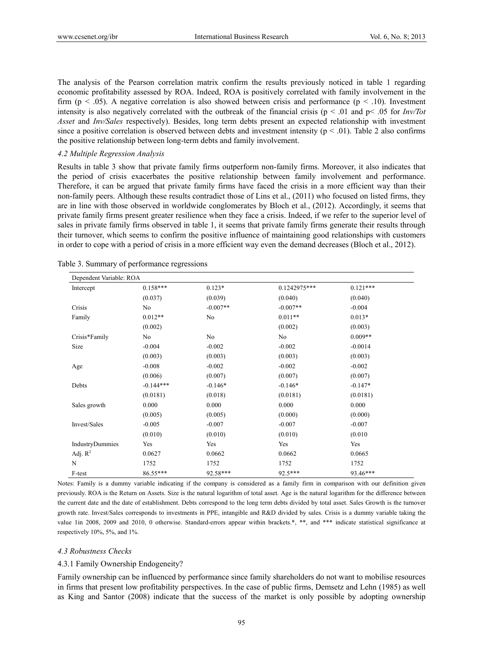The analysis of the Pearson correlation matrix confirm the results previously noticed in table 1 regarding economic profitability assessed by ROA. Indeed, ROA is positively correlated with family involvement in the firm ( $p < .05$ ). A negative correlation is also showed between crisis and performance ( $p < .10$ ). Investment intensity is also negatively correlated with the outbreak of the financial crisis (p < .01 and p< .05 for *Inv/Tot Asset* and *Inv/Sales* respectively). Besides, long term debts present an expected relationship with investment since a positive correlation is observed between debts and investment intensity ( $p < .01$ ). Table 2 also confirms the positive relationship between long-term debts and family involvement.

## *4.2 Multiple Regression Analysis*

Results in table 3 show that private family firms outperform non-family firms. Moreover, it also indicates that the period of crisis exacerbates the positive relationship between family involvement and performance. Therefore, it can be argued that private family firms have faced the crisis in a more efficient way than their non-family peers. Although these results contradict those of Lins et al., (2011) who focused on listed firms, they are in line with those observed in worldwide conglomerates by Bloch et al., (2012). Accordingly, it seems that private family firms present greater resilience when they face a crisis. Indeed, if we refer to the superior level of sales in private family firms observed in table 1, it seems that private family firms generate their results through their turnover, which seems to confirm the positive influence of maintaining good relationships with customers in order to cope with a period of crisis in a more efficient way even the demand decreases (Bloch et al., 2012).

| Dependent Variable: ROA |             |            |              |            |  |  |  |
|-------------------------|-------------|------------|--------------|------------|--|--|--|
| Intercept               | $0.158***$  | $0.123*$   | 0.1242975*** | $0.121***$ |  |  |  |
|                         | (0.037)     | (0.039)    | (0.040)      | (0.040)    |  |  |  |
| Crisis                  | No          | $-0.007**$ | $-0.007**$   | $-0.004$   |  |  |  |
| Family                  | $0.012**$   | No         | $0.011**$    | $0.013*$   |  |  |  |
|                         | (0.002)     |            | (0.002)      | (0.003)    |  |  |  |
| Crisis*Family           | No          | No         | No           | $0.009**$  |  |  |  |
| Size                    | $-0.004$    | $-0.002$   | $-0.002$     | $-0.0014$  |  |  |  |
|                         | (0.003)     | (0.003)    | (0.003)      | (0.003)    |  |  |  |
| Age                     | $-0.008$    | $-0.002$   | $-0.002$     | $-0.002$   |  |  |  |
|                         | (0.006)     | (0.007)    | (0.007)      | (0.007)    |  |  |  |
| Debts                   | $-0.144***$ | $-0.146*$  | $-0.146*$    | $-0.147*$  |  |  |  |
|                         | (0.0181)    | (0.018)    | (0.0181)     | (0.0181)   |  |  |  |
| Sales growth            | 0.000       | 0.000      | 0.000        | 0.000      |  |  |  |
|                         | (0.005)     | (0.005)    | (0.000)      | (0.000)    |  |  |  |
| Invest/Sales            | $-0.005$    | $-0.007$   | $-0.007$     | $-0.007$   |  |  |  |
|                         | (0.010)     | (0.010)    | (0.010)      | (0.010)    |  |  |  |
| IndustryDummies         | Yes         | Yes        | Yes          | Yes        |  |  |  |
| Adj. $R^2$              | 0.0627      | 0.0662     | 0.0662       | 0.0665     |  |  |  |
| $\mathbf N$             | 1752        | 1752       | 1752         | 1752       |  |  |  |
| F-test                  | 86.55***    | 92.58***   | $92.5***$    | 93.46***   |  |  |  |

Table 3. Summary of performance regressions

Notes: Family is a dummy variable indicating if the company is considered as a family firm in comparison with our definition given previously. ROA is the Return on Assets. Size is the natural logarithm of total asset. Age is the natural logarithm for the difference between the current date and the date of establishment. Debts correspond to the long term debts divided by total asset. Sales Growth is the turnover growth rate. Invest/Sales corresponds to investments in PPE, intangible and R&D divided by sales. Crisis is a dummy variable taking the value 1in 2008, 2009 and 2010, 0 otherwise. Standard-errors appear within brackets.\*, \*\*, and \*\*\* indicate statistical significance at respectively 10%, 5%, and 1%.

## *4.3 Robustness Checks*

#### 4.3.1 Family Ownership Endogeneity?

Family ownership can be influenced by performance since family shareholders do not want to mobilise resources in firms that present low profitability perspectives. In the case of public firms, Demsetz and Lehn (1985) as well as King and Santor (2008) indicate that the success of the market is only possible by adopting ownership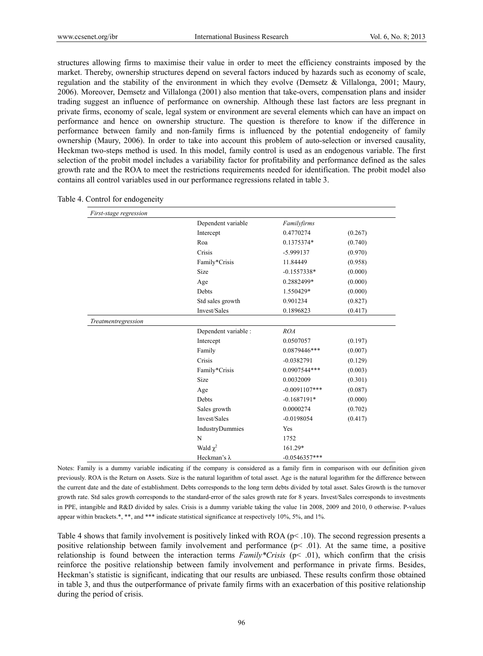structures allowing firms to maximise their value in order to meet the efficiency constraints imposed by the market. Thereby, ownership structures depend on several factors induced by hazards such as economy of scale, regulation and the stability of the environment in which they evolve (Demsetz & Villalonga, 2001; Maury, 2006). Moreover, Demsetz and Villalonga (2001) also mention that take-overs, compensation plans and insider trading suggest an influence of performance on ownership. Although these last factors are less pregnant in private firms, economy of scale, legal system or environment are several elements which can have an impact on performance and hence on ownership structure. The question is therefore to know if the difference in performance between family and non-family firms is influenced by the potential endogeneity of family ownership (Maury, 2006). In order to take into account this problem of auto-selection or inversed causality, Heckman two-steps method is used. In this model, family control is used as an endogenous variable. The first selection of the probit model includes a variability factor for profitability and performance defined as the sales growth rate and the ROA to meet the restrictions requirements needed for identification. The probit model also contains all control variables used in our performance regressions related in table 3.

| First-stage regression |                      |                  |         |
|------------------------|----------------------|------------------|---------|
|                        | Dependent variable   | Familyfirms      |         |
|                        | Intercept            | 0.4770274        | (0.267) |
|                        | Roa                  | 0.1375374*       | (0.740) |
|                        | Crisis               | -5.999137        | (0.970) |
|                        | Family*Crisis        | 11.84449         | (0.958) |
|                        | Size                 | $-0.1557338*$    | (0.000) |
|                        | Age                  | 0.2882499*       | (0.000) |
|                        | Debts                | 1.550429*        | (0.000) |
|                        | Std sales growth     | 0.901234         | (0.827) |
|                        | Invest/Sales         | 0.1896823        | (0.417) |
| Treatmentregression    |                      |                  |         |
|                        | Dependent variable : | ROA              |         |
|                        | Intercept            | 0.0507057        | (0.197) |
|                        | Family               | 0.0879446***     | (0.007) |
|                        | Crisis               | $-0.0382791$     | (0.129) |
|                        | Family*Crisis        | 0.0907544***     | (0.003) |
|                        | Size                 | 0.0032009        | (0.301) |
|                        | Age                  | $-0.0091107$ *** | (0.087) |
|                        | Debts                | $-0.1687191*$    | (0.000) |
|                        | Sales growth         | 0.0000274        | (0.702) |
|                        | Invest/Sales         | $-0.0198054$     | (0.417) |
|                        | IndustryDummies      | Yes              |         |
|                        | N                    | 1752             |         |
|                        | Wald $\chi^2$        | 161.29*          |         |
|                        | Heckman's $\lambda$  | $-0.0546357***$  |         |

Table 4. Control for endogeneity

Notes: Family is a dummy variable indicating if the company is considered as a family firm in comparison with our definition given previously. ROA is the Return on Assets. Size is the natural logarithm of total asset. Age is the natural logarithm for the difference between the current date and the date of establishment. Debts corresponds to the long term debts divided by total asset. Sales Growth is the turnover growth rate. Std sales growth corresponds to the standard-error of the sales growth rate for 8 years. Invest/Sales corresponds to investments in PPE, intangible and R&D divided by sales. Crisis is a dummy variable taking the value 1in 2008, 2009 and 2010, 0 otherwise. P-values appear within brackets.\*, \*\*, and \*\*\* indicate statistical significance at respectively 10%, 5%, and 1%.

Table 4 shows that family involvement is positively linked with ROA ( $p$ < .10). The second regression presents a positive relationship between family involvement and performance  $(p< .01)$ . At the same time, a positive relationship is found between the interaction terms *Family\*Crisis* (p< .01), which confirm that the crisis reinforce the positive relationship between family involvement and performance in private firms. Besides, Heckman's statistic is significant, indicating that our results are unbiased. These results confirm those obtained in table 3, and thus the outperformance of private family firms with an exacerbation of this positive relationship during the period of crisis.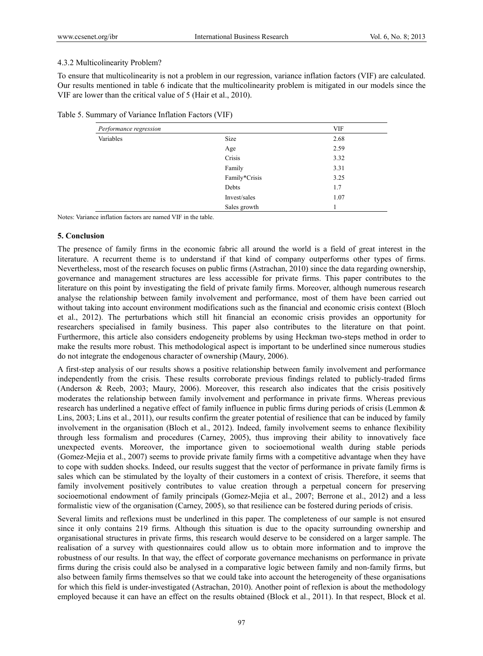# 4.3.2 Multicolinearity Problem?

To ensure that multicolinearity is not a problem in our regression, variance inflation factors (VIF) are calculated. Our results mentioned in table 6 indicate that the multicolinearity problem is mitigated in our models since the VIF are lower than the critical value of 5 (Hair et al., 2010).

|  | Table 5. Summary of Variance Inflation Factors (VIF) |  |  |
|--|------------------------------------------------------|--|--|
|  |                                                      |  |  |

| Performance regression |               | <b>VIF</b> |
|------------------------|---------------|------------|
| Variables              | Size          | 2.68       |
|                        | Age           | 2.59       |
|                        | Crisis        | 3.32       |
|                        | Family        | 3.31       |
|                        | Family*Crisis | 3.25       |
|                        | Debts         | 1.7        |
|                        | Invest/sales  | 1.07       |
|                        | Sales growth  |            |

Notes: Variance inflation factors are named VIF in the table.

# **5. Conclusion**

The presence of family firms in the economic fabric all around the world is a field of great interest in the literature. A recurrent theme is to understand if that kind of company outperforms other types of firms. Nevertheless, most of the research focuses on public firms (Astrachan, 2010) since the data regarding ownership, governance and management structures are less accessible for private firms. This paper contributes to the literature on this point by investigating the field of private family firms. Moreover, although numerous research analyse the relationship between family involvement and performance, most of them have been carried out without taking into account environment modifications such as the financial and economic crisis context (Bloch et al., 2012). The perturbations which still hit financial an economic crisis provides an opportunity for researchers specialised in family business. This paper also contributes to the literature on that point. Furthermore, this article also considers endogeneity problems by using Heckman two-steps method in order to make the results more robust. This methodological aspect is important to be underlined since numerous studies do not integrate the endogenous character of ownership (Maury, 2006).

A first-step analysis of our results shows a positive relationship between family involvement and performance independently from the crisis. These results corroborate previous findings related to publicly-traded firms (Anderson & Reeb, 2003; Maury, 2006). Moreover, this research also indicates that the crisis positively moderates the relationship between family involvement and performance in private firms. Whereas previous research has underlined a negative effect of family influence in public firms during periods of crisis (Lemmon & Lins, 2003; Lins et al., 2011), our results confirm the greater potential of resilience that can be induced by family involvement in the organisation (Bloch et al., 2012). Indeed, family involvement seems to enhance flexibility through less formalism and procedures (Carney, 2005), thus improving their ability to innovatively face unexpected events. Moreover, the importance given to socioemotional wealth during stable periods (Gomez-Mejia et al., 2007) seems to provide private family firms with a competitive advantage when they have to cope with sudden shocks. Indeed, our results suggest that the vector of performance in private family firms is sales which can be stimulated by the loyalty of their customers in a context of crisis. Therefore, it seems that family involvement positively contributes to value creation through a perpetual concern for preserving socioemotional endowment of family principals (Gomez-Mejia et al., 2007; Berrone et al., 2012) and a less formalistic view of the organisation (Carney, 2005), so that resilience can be fostered during periods of crisis.

Several limits and reflexions must be underlined in this paper. The completeness of our sample is not ensured since it only contains 219 firms. Although this situation is due to the opacity surrounding ownership and organisational structures in private firms, this research would deserve to be considered on a larger sample. The realisation of a survey with questionnaires could allow us to obtain more information and to improve the robustness of our results. In that way, the effect of corporate governance mechanisms on performance in private firms during the crisis could also be analysed in a comparative logic between family and non-family firms, but also between family firms themselves so that we could take into account the heterogeneity of these organisations for which this field is under-investigated (Astrachan, 2010). Another point of reflexion is about the methodology employed because it can have an effect on the results obtained (Block et al., 2011). In that respect, Block et al.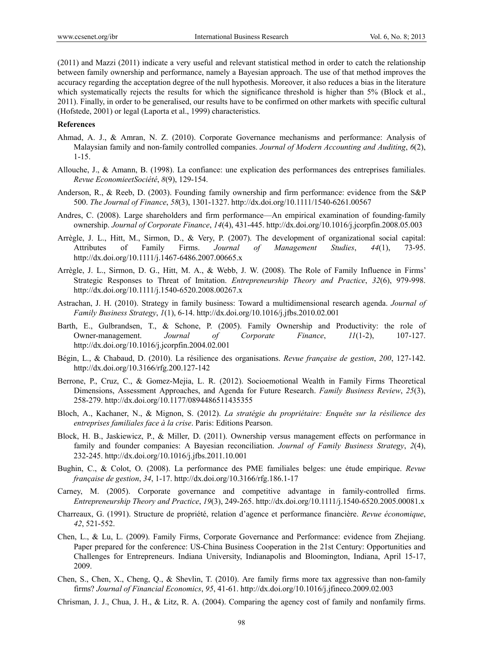(2011) and Mazzi (2011) indicate a very useful and relevant statistical method in order to catch the relationship between family ownership and performance, namely a Bayesian approach. The use of that method improves the accuracy regarding the acceptation degree of the null hypothesis. Moreover, it also reduces a bias in the literature which systematically rejects the results for which the significance threshold is higher than 5% (Block et al., 2011). Finally, in order to be generalised, our results have to be confirmed on other markets with specific cultural (Hofstede, 2001) or legal (Laporta et al., 1999) characteristics.

# **References**

- Ahmad, A. J., & Amran, N. Z. (2010). Corporate Governance mechanisms and performance: Analysis of Malaysian family and non-family controlled companies. *Journal of Modern Accounting and Auditing*, *6*(2), 1-15.
- Allouche, J., & Amann, B. (1998). La confiance: une explication des performances des entreprises familiales. *Revue EconomieetSociété*, *8*(9), 129-154.
- Anderson, R., & Reeb, D. (2003). Founding family ownership and firm performance: evidence from the S&P 500. *The Journal of Finance*, *58*(3), 1301-1327. http://dx.doi.org/10.1111/1540-6261.00567
- Andres, C. (2008). Large shareholders and firm performance—An empirical examination of founding-family ownership. *Journal of Corporate Finance*, *14*(4), 431-445. http://dx.doi.org/10.1016/j.jcorpfin.2008.05.003
- Arrègle, J. L., Hitt, M., Sirmon, D., & Very, P. (2007). The development of organizational social capital: Attributes of Family Firms. *Journal of Management Studies*, *44*(1), 73-95. http://dx.doi.org/10.1111/j.1467-6486.2007.00665.x
- Arrègle, J. L., Sirmon, D. G., Hitt, M. A., & Webb, J. W. (2008). The Role of Family Influence in Firms' Strategic Responses to Threat of Imitation. *Entrepreneurship Theory and Practice*, *32*(6), 979-998. http://dx.doi.org/10.1111/j.1540-6520.2008.00267.x
- Astrachan, J. H. (2010). Strategy in family business: Toward a multidimensional research agenda. *Journal of Family Business Strategy*, *1*(1), 6-14. http://dx.doi.org/10.1016/j.jfbs.2010.02.001
- Barth, E., Gulbrandsen, T., & Schone, P. (2005). Family Ownership and Productivity: the role of Owner-management. *Journal of Corporate Finance*, *11*(1-2), 107-127. http://dx.doi.org/10.1016/j.jcorpfin.2004.02.001
- Bégin, L., & Chabaud, D. (2010). La résilience des organisations. *Revue française de gestion*, *200*, 127-142. http://dx.doi.org/10.3166/rfg.200.127-142
- Berrone, P., Cruz, C., & Gomez-Mejia, L. R. (2012). Socioemotional Wealth in Family Firms Theoretical Dimensions, Assessment Approaches, and Agenda for Future Research. *Family Business Review*, *25*(3), 258-279. http://dx.doi.org/10.1177/0894486511435355
- Bloch, A., Kachaner, N., & Mignon, S. (2012). *La stratégie du propriétaire: Enquête sur la résilience des entreprises familiales face à la crise*. Paris: Editions Pearson.
- Block, H. B., Jaskiewicz, P., & Miller, D. (2011). Ownership versus management effects on performance in family and founder companies: A Bayesian reconciliation. *Journal of Family Business Strategy*, *2*(4), 232-245. http://dx.doi.org/10.1016/j.jfbs.2011.10.001
- Bughin, C., & Colot, O. (2008). La performance des PME familiales belges: une étude empirique. *Revue française de gestion*, *34*, 1-17. http://dx.doi.org/10.3166/rfg.186.1-17
- Carney, M. (2005). Corporate governance and competitive advantage in family-controlled firms. *Entrepreneurship Theory and Practice*, *19*(3), 249-265. http://dx.doi.org/10.1111/j.1540-6520.2005.00081.x
- Charreaux, G. (1991). Structure de propriété, relation d'agence et performance financière. *Revue économique*, *42*, 521-552.
- Chen, L., & Lu, L. (2009). Family Firms, Corporate Governance and Performance: evidence from Zhejiang. Paper prepared for the conference: US-China Business Cooperation in the 21st Century: Opportunities and Challenges for Entrepreneurs. Indiana University, Indianapolis and Bloomington, Indiana, April 15-17, 2009.
- Chen, S., Chen, X., Cheng, Q., & Shevlin, T. (2010). Are family firms more tax aggressive than non-family firms? *Journal of Financial Economics*, *95*, 41-61. http://dx.doi.org/10.1016/j.jfineco.2009.02.003
- Chrisman, J. J., Chua, J. H., & Litz, R. A. (2004). Comparing the agency cost of family and nonfamily firms.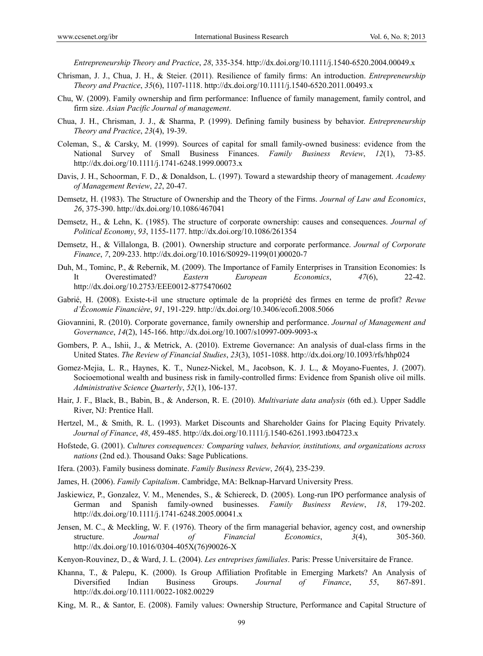*Entrepreneurship Theory and Practice*, *28*, 335-354. http://dx.doi.org/10.1111/j.1540-6520.2004.00049.x

- Chrisman, J. J., Chua, J. H., & Steier. (2011). Resilience of family firms: An introduction. *Entrepreneurship Theory and Practice*, *35*(6), 1107-1118. http://dx.doi.org/10.1111/j.1540-6520.2011.00493.x
- Chu, W. (2009). Family ownership and firm performance: Influence of family management, family control, and firm size. *Asian Pacific Journal of management*.
- Chua, J. H., Chrisman, J. J., & Sharma, P. (1999). Defining family business by behavior. *Entrepreneurship Theory and Practice*, *23*(4), 19-39.
- Coleman, S., & Carsky, M. (1999). Sources of capital for small family-owned business: evidence from the National Survey of Small Business Finances. *Family Business Review*, *12*(1), 73-85. http://dx.doi.org/10.1111/j.1741-6248.1999.00073.x
- Davis, J. H., Schoorman, F. D., & Donaldson, L. (1997). Toward a stewardship theory of management. *Academy of Management Review*, *22*, 20-47.
- Demsetz, H. (1983). The Structure of Ownership and the Theory of the Firms. *Journal of Law and Economics*, *26*, 375-390. http://dx.doi.org/10.1086/467041
- Demsetz, H., & Lehn, K. (1985). The structure of corporate ownership: causes and consequences. *Journal of Political Economy*, *93*, 1155-1177. http://dx.doi.org/10.1086/261354
- Demsetz, H., & Villalonga, B. (2001). Ownership structure and corporate performance. *Journal of Corporate Finance*, *7*, 209-233. http://dx.doi.org/10.1016/S0929-1199(01)00020-7
- Duh, M., Tominc, P., & Rebernik, M. (2009). The Importance of Family Enterprises in Transition Economies: Is It Overestimated? *Eastern European Economics*, *47*(6), 22-42. http://dx.doi.org/10.2753/EEE0012-8775470602
- Gabrié, H. (2008). Existe-t-il une structure optimale de la propriété des firmes en terme de profit? *Revue d'Économie Financière*, *91*, 191-229. http://dx.doi.org/10.3406/ecofi.2008.5066
- Giovannini, R. (2010). Corporate governance, family ownership and performance. *Journal of Management and Governance*, *14*(2), 145-166. http://dx.doi.org/10.1007/s10997-009-9093-x
- Gombers, P. A., Ishii, J., & Metrick, A. (2010). Extreme Governance: An analysis of dual-class firms in the United States. *The Review of Financial Studies*, *23*(3), 1051-1088. http://dx.doi.org/10.1093/rfs/hhp024
- Gomez-Mejia, L. R., Haynes, K. T., Nunez-Nickel, M., Jacobson, K. J. L., & Moyano-Fuentes, J. (2007). Socioemotional wealth and business risk in family-controlled firms: Evidence from Spanish olive oil mills. *Administrative Science Quarterly*, *52*(1), 106-137.
- Hair, J. F., Black, B., Babin, B., & Anderson, R. E. (2010). *Multivariate data analysis* (6th ed.). Upper Saddle River, NJ: Prentice Hall.
- Hertzel, M., & Smith, R. L. (1993). Market Discounts and Shareholder Gains for Placing Equity Privately. *Journal of Finance*, *48*, 459-485. http://dx.doi.org/10.1111/j.1540-6261.1993.tb04723.x
- Hofstede, G. (2001). *Cultures consequences: Comparing values, behavior, institutions, and organizations across nations* (2nd ed.). Thousand Oaks: Sage Publications.
- Ifera. (2003). Family business dominate. *Family Business Review*, *26*(4), 235-239.
- James, H. (2006). *Family Capitalism*. Cambridge, MA: Belknap-Harvard University Press.
- Jaskiewicz, P., Gonzalez, V. M., Menendes, S., & Schiereck, D. (2005). Long-run IPO performance analysis of German and Spanish family-owned businesses. *Family Business Review*, *18*, 179-202. http://dx.doi.org/10.1111/j.1741-6248.2005.00041.x
- Jensen, M. C., & Meckling, W. F. (1976). Theory of the firm managerial behavior, agency cost, and ownership structure. *Journal of Financial Economics*, *3*(4), 305-360. http://dx.doi.org/10.1016/0304-405X(76)90026-X
- Kenyon-Rouvinez, D., & Ward, J. L. (2004). *Les entreprises familiales*. Paris: Presse Universitaire de France.
- Khanna, T., & Palepu, K. (2000). Is Group Affiliation Profitable in Emerging Markets? An Analysis of Diversified Indian Business Groups. *Journal of Finance*, *55*, 867-891. http://dx.doi.org/10.1111/0022-1082.00229
- King, M. R., & Santor, E. (2008). Family values: Ownership Structure, Performance and Capital Structure of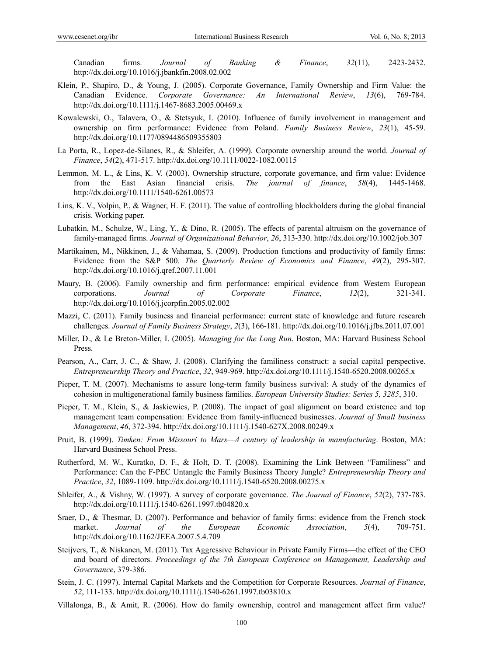Canadian firms. *Journal of Banking & Finance*, *32*(11), 2423-2432. http://dx.doi.org/10.1016/j.jbankfin.2008.02.002

- Klein, P., Shapiro, D., & Young, J. (2005). Corporate Governance, Family Ownership and Firm Value: the Canadian Evidence. *Corporate Governance: An International Review*, *13*(6), 769-784. http://dx.doi.org/10.1111/j.1467-8683.2005.00469.x
- Kowalewski, O., Talavera, O., & Stetsyuk, I. (2010). Influence of family involvement in management and ownership on firm performance: Evidence from Poland. *Family Business Review*, *23*(1), 45-59. http://dx.doi.org/10.1177/0894486509355803
- La Porta, R., Lopez-de-Silanes, R., & Shleifer, A. (1999). Corporate ownership around the world. *Journal of Finance*, *54*(2), 471-517. http://dx.doi.org/10.1111/0022-1082.00115
- Lemmon, M. L., & Lins, K. V. (2003). Ownership structure, corporate governance, and firm value: Evidence from the East Asian financial crisis. *The journal of finance*, *58*(4), 1445-1468. http://dx.doi.org/10.1111/1540-6261.00573
- Lins, K. V., Volpin, P., & Wagner, H. F. (2011). The value of controlling blockholders during the global financial crisis. Working paper.
- Lubatkin, M., Schulze, W., Ling, Y., & Dino, R. (2005). The effects of parental altruism on the governance of family-managed firms. *Journal of Organizational Behavior*, *26*, 313-330. http://dx.doi.org/10.1002/job.307
- Martikainen, M., Nikkinen, J., & Vahamaa, S. (2009). Production functions and productivity of family firms: Evidence from the S&P 500. *The Quarterly Review of Economics and Finance*, *49*(2), 295-307. http://dx.doi.org/10.1016/j.qref.2007.11.001
- Maury, B. (2006). Family ownership and firm performance: empirical evidence from Western European corporations. *Journal of Corporate Finance*, *12*(2), 321-341. http://dx.doi.org/10.1016/j.jcorpfin.2005.02.002
- Mazzi, C. (2011). Family business and financial performance: current state of knowledge and future research challenges. *Journal of Family Business Strategy*, *2*(3), 166-181. http://dx.doi.org/10.1016/j.jfbs.2011.07.001
- Miller, D., & Le Breton-Miller, I. (2005). *Managing for the Long Run*. Boston, MA: Harvard Business School Press.
- Pearson, A., Carr, J. C., & Shaw, J. (2008). Clarifying the familiness construct: a social capital perspective. *Entrepreneurship Theory and Practice*, *32*, 949-969. http://dx.doi.org/10.1111/j.1540-6520.2008.00265.x
- Pieper, T. M. (2007). Mechanisms to assure long-term family business survival: A study of the dynamics of cohesion in multigenerational family business families. *European University Studies: Series 5, 3285*, 310.
- Pieper, T. M., Klein, S., & Jaskiewics, P. (2008). The impact of goal alignment on board existence and top management team compensation: Evidence from family-influenced businesses. *Journal of Small business Management*, *46*, 372-394. http://dx.doi.org/10.1111/j.1540-627X.2008.00249.x
- Pruit, B. (1999). *Timken: From Missouri to Mars—A century of leadership in manufacturing*. Boston, MA: Harvard Business School Press.
- Rutherford, M. W., Kuratko, D. F., & Holt, D. T. (2008). Examining the Link Between "Familiness" and Performance: Can the F-PEC Untangle the Family Business Theory Jungle? *Entrepreneurship Theory and Practice*, *32*, 1089-1109. http://dx.doi.org/10.1111/j.1540-6520.2008.00275.x
- Shleifer, A., & Vishny, W. (1997). A survey of corporate governance. *The Journal of Finance*, *52*(2), 737-783. http://dx.doi.org/10.1111/j.1540-6261.1997.tb04820.x
- Sraer, D., & Thesmar, D. (2007). Performance and behavior of family firms: evidence from the French stock market. *Journal of the European Economic Association*, *5*(4), 709-751. http://dx.doi.org/10.1162/JEEA.2007.5.4.709
- Steijvers, T., & Niskanen, M. (2011). Tax Aggressive Behaviour in Private Family Firms—the effect of the CEO and board of directors. *Proceedings of the 7th European Conference on Management, Leadership and Governance*, 379-386.
- Stein, J. C. (1997). Internal Capital Markets and the Competition for Corporate Resources. *Journal of Finance*, *52*, 111-133. http://dx.doi.org/10.1111/j.1540-6261.1997.tb03810.x
- Villalonga, B., & Amit, R. (2006). How do family ownership, control and management affect firm value?